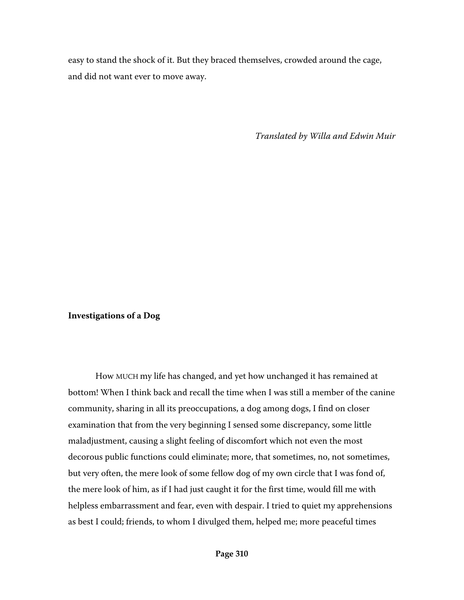easy to stand the shock of it. But they braced themselves, crowded around the cage, and did not want ever to move away.

Translated by Willa and Edwin Muir

## **Investigations of a Dog**

 How MUCH my life has changed, and yet how unchanged it has remained at bottom! When I think back and recall the time when I was still a member of the canine community, sharing in all its preoccupations, a dog among dogs, I find on closer examination that from the very beginning I sensed some discrepancy, some little maladjustment, causing a slight feeling of discomfort which not even the most decorous public functions could eliminate; more, that sometimes, no, not sometimes, but very often, the mere look of some fellow dog of my own circle that I was fond of, the mere look of him, as if I had just caught it for the first time, would fill me with helpless embarrassment and fear, even with despair. I tried to quiet my apprehensions as best I could; friends, to whom I divulged them, helped me; more peaceful times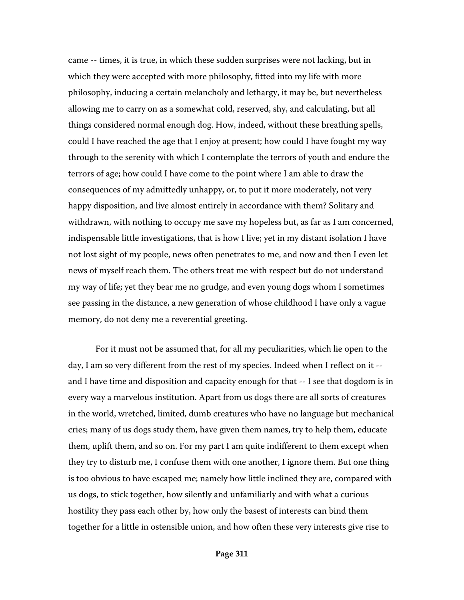came -- times, it is true, in which these sudden surprises were not lacking, but in which they were accepted with more philosophy, fitted into my life with more philosophy, inducing a certain melancholy and lethargy, it may be, but nevertheless allowing me to carry on as a somewhat cold, reserved, shy, and calculating, but all things considered normal enough dog. How, indeed, without these breathing spells, could I have reached the age that I enjoy at present; how could I have fought my way through to the serenity with which I contemplate the terrors of youth and endure the terrors of age; how could I have come to the point where I am able to draw the consequences of my admittedly unhappy, or, to put it more moderately, not very happy disposition, and live almost entirely in accordance with them? Solitary and withdrawn, with nothing to occupy me save my hopeless but, as far as I am concerned, indispensable little investigations, that is how I live; yet in my distant isolation I have not lost sight of my people, news often penetrates to me, and now and then I even let news of myself reach them. The others treat me with respect but do not understand my way of life; yet they bear me no grudge, and even young dogs whom I sometimes see passing in the distance, a new generation of whose childhood I have only a vague memory, do not deny me a reverential greeting.

 For it must not be assumed that, for all my peculiarities, which lie open to the day, I am so very different from the rest of my species. Indeed when I reflect on it - and I have time and disposition and capacity enough for that -- I see that dogdom is in every way a marvelous institution. Apart from us dogs there are all sorts of creatures in the world, wretched, limited, dumb creatures who have no language but mechanical cries; many of us dogs study them, have given them names, try to help them, educate them, uplift them, and so on. For my part I am quite indifferent to them except when they try to disturb me, I confuse them with one another, I ignore them. But one thing is too obvious to have escaped me; namely how little inclined they are, compared with us dogs, to stick together, how silently and unfamiliarly and with what a curious hostility they pass each other by, how only the basest of interests can bind them together for a little in ostensible union, and how often these very interests give rise to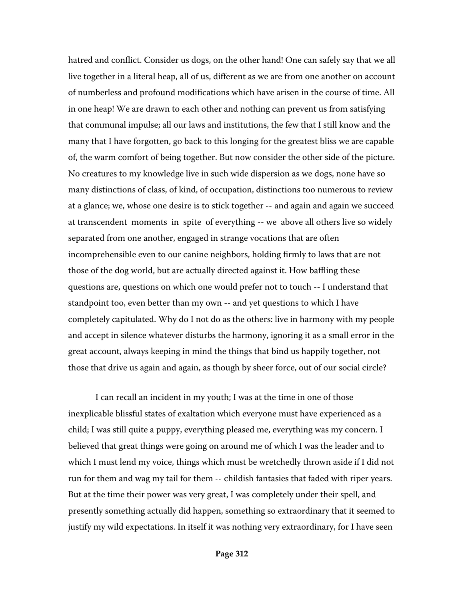hatred and conflict. Consider us dogs, on the other hand! One can safely say that we all live together in a literal heap, all of us, different as we are from one another on account of numberless and profound modifications which have arisen in the course of time. All in one heap! We are drawn to each other and nothing can prevent us from satisfying that communal impulse; all our laws and institutions, the few that I still know and the many that I have forgotten, go back to this longing for the greatest bliss we are capable of, the warm comfort of being together. But now consider the other side of the picture. No creatures to my knowledge live in such wide dispersion as we dogs, none have so many distinctions of class, of kind, of occupation, distinctions too numerous to review at a glance; we, whose one desire is to stick together -- and again and again we succeed at transcendent moments in spite of everything -- we above all others live so widely separated from one another, engaged in strange vocations that are often incomprehensible even to our canine neighbors, holding firmly to laws that are not those of the dog world, but are actually directed against it. How baffling these questions are, questions on which one would prefer not to touch -- I understand that standpoint too, even better than my own -- and yet questions to which I have completely capitulated. Why do I not do as the others: live in harmony with my people and accept in silence whatever disturbs the harmony, ignoring it as a small error in the great account, always keeping in mind the things that bind us happily together, not those that drive us again and again, as though by sheer force, out of our social circle?

 I can recall an incident in my youth; I was at the time in one of those inexplicable blissful states of exaltation which everyone must have experienced as a child; I was still quite a puppy, everything pleased me, everything was my concern. I believed that great things were going on around me of which I was the leader and to which I must lend my voice, things which must be wretchedly thrown aside if I did not run for them and wag my tail for them -- childish fantasies that faded with riper years. But at the time their power was very great, I was completely under their spell, and presently something actually did happen, something so extraordinary that it seemed to justify my wild expectations. In itself it was nothing very extraordinary, for I have seen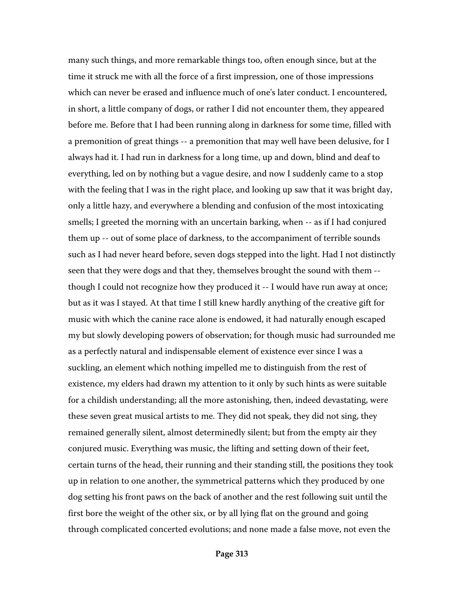many such things, and more remarkable things too, often enough since, but at the time it struck me with all the force of a first impression, one of those impressions which can never be erased and influence much of one's later conduct. I encountered, in short, a little company of dogs, or rather I did not encounter them, they appeared before me. Before that I had been running along in darkness for some time, filled with a premonition of great things -- a premonition that may well have been delusive, for I always had it. I had run in darkness for a long time, up and down, blind and deaf to everything, led on by nothing but a vague desire, and now I suddenly came to a stop with the feeling that I was in the right place, and looking up saw that it was bright day, only a little hazy, and everywhere a blending and confusion of the most intoxicating smells; I greeted the morning with an uncertain barking, when -- as if I had conjured them up -- out of some place of darkness, to the accompaniment of terrible sounds such as I had never heard before, seven dogs stepped into the light. Had I not distinctly seen that they were dogs and that they, themselves brought the sound with them - though I could not recognize how they produced it -- I would have run away at once; but as it was I stayed. At that time I still knew hardly anything of the creative gift for music with which the canine race alone is endowed, it had naturally enough escaped my but slowly developing powers of observation; for though music had surrounded me as a perfectly natural and indispensable element of existence ever since I was a suckling, an element which nothing impelled me to distinguish from the rest of existence, my elders had drawn my attention to it only by such hints as were suitable for a childish understanding; all the more astonishing, then, indeed devastating, were these seven great musical artists to me. They did not speak, they did not sing, they remained generally silent, almost determinedly silent; but from the empty air they conjured music. Everything was music, the lifting and setting down of their feet, certain turns of the head, their running and their standing still, the positions they took up in relation to one another, the symmetrical patterns which they produced by one dog setting his front paws on the back of another and the rest following suit until the first bore the weight of the other six, or by all lying flat on the ground and going through complicated concerted evolutions; and none made a false move, not even the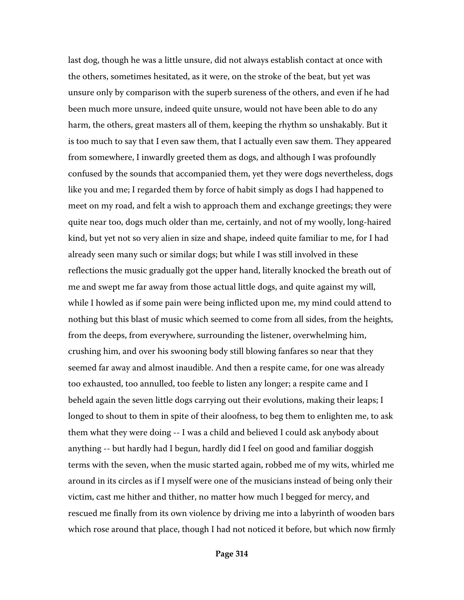last dog, though he was a little unsure, did not always establish contact at once with the others, sometimes hesitated, as it were, on the stroke of the beat, but yet was unsure only by comparison with the superb sureness of the others, and even if he had been much more unsure, indeed quite unsure, would not have been able to do any harm, the others, great masters all of them, keeping the rhythm so unshakably. But it is too much to say that I even saw them, that I actually even saw them. They appeared from somewhere, I inwardly greeted them as dogs, and although I was profoundly confused by the sounds that accompanied them, yet they were dogs nevertheless, dogs like you and me; I regarded them by force of habit simply as dogs I had happened to meet on my road, and felt a wish to approach them and exchange greetings; they were quite near too, dogs much older than me, certainly, and not of my woolly, long-haired kind, but yet not so very alien in size and shape, indeed quite familiar to me, for I had already seen many such or similar dogs; but while I was still involved in these reflections the music gradually got the upper hand, literally knocked the breath out of me and swept me far away from those actual little dogs, and quite against my will, while I howled as if some pain were being inflicted upon me, my mind could attend to nothing but this blast of music which seemed to come from all sides, from the heights, from the deeps, from everywhere, surrounding the listener, overwhelming him, crushing him, and over his swooning body still blowing fanfares so near that they seemed far away and almost inaudible. And then a respite came, for one was already too exhausted, too annulled, too feeble to listen any longer; a respite came and I beheld again the seven little dogs carrying out their evolutions, making their leaps; I longed to shout to them in spite of their aloofness, to beg them to enlighten me, to ask them what they were doing -- I was a child and believed I could ask anybody about anything -- but hardly had I begun, hardly did I feel on good and familiar doggish terms with the seven, when the music started again, robbed me of my wits, whirled me around in its circles as if I myself were one of the musicians instead of being only their victim, cast me hither and thither, no matter how much I begged for mercy, and rescued me finally from its own violence by driving me into a labyrinth of wooden bars which rose around that place, though I had not noticed it before, but which now firmly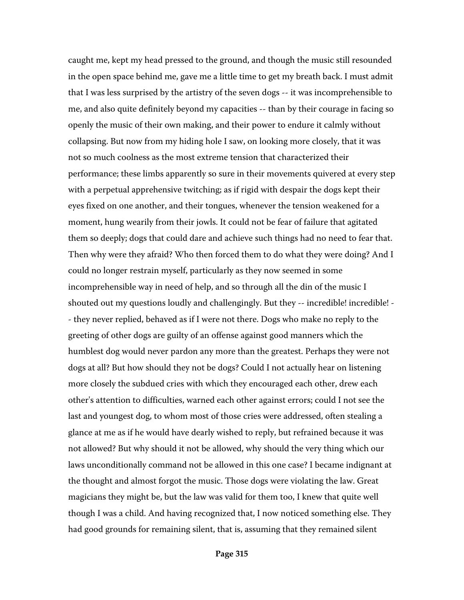caught me, kept my head pressed to the ground, and though the music still resounded in the open space behind me, gave me a little time to get my breath back. I must admit that I was less surprised by the artistry of the seven dogs -- it was incomprehensible to me, and also quite definitely beyond my capacities -- than by their courage in facing so openly the music of their own making, and their power to endure it calmly without collapsing. But now from my hiding hole I saw, on looking more closely, that it was not so much coolness as the most extreme tension that characterized their performance; these limbs apparently so sure in their movements quivered at every step with a perpetual apprehensive twitching; as if rigid with despair the dogs kept their eyes fixed on one another, and their tongues, whenever the tension weakened for a moment, hung wearily from their jowls. It could not be fear of failure that agitated them so deeply; dogs that could dare and achieve such things had no need to fear that. Then why were they afraid? Who then forced them to do what they were doing? And I could no longer restrain myself, particularly as they now seemed in some incomprehensible way in need of help, and so through all the din of the music I shouted out my questions loudly and challengingly. But they -- incredible! incredible! - - they never replied, behaved as if I were not there. Dogs who make no reply to the greeting of other dogs are guilty of an offense against good manners which the humblest dog would never pardon any more than the greatest. Perhaps they were not dogs at all? But how should they not be dogs? Could I not actually hear on listening more closely the subdued cries with which they encouraged each other, drew each other's attention to difficulties, warned each other against errors; could I not see the last and youngest dog, to whom most of those cries were addressed, often stealing a glance at me as if he would have dearly wished to reply, but refrained because it was not allowed? But why should it not be allowed, why should the very thing which our laws unconditionally command not be allowed in this one case? I became indignant at the thought and almost forgot the music. Those dogs were violating the law. Great magicians they might be, but the law was valid for them too, I knew that quite well though I was a child. And having recognized that, I now noticed something else. They had good grounds for remaining silent, that is, assuming that they remained silent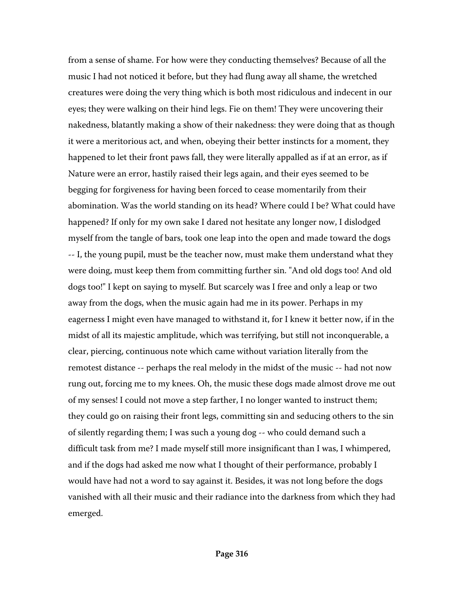from a sense of shame. For how were they conducting themselves? Because of all the music I had not noticed it before, but they had flung away all shame, the wretched creatures were doing the very thing which is both most ridiculous and indecent in our eyes; they were walking on their hind legs. Fie on them! They were uncovering their nakedness, blatantly making a show of their nakedness: they were doing that as though it were a meritorious act, and when, obeying their better instincts for a moment, they happened to let their front paws fall, they were literally appalled as if at an error, as if Nature were an error, hastily raised their legs again, and their eyes seemed to be begging for forgiveness for having been forced to cease momentarily from their abomination. Was the world standing on its head? Where could I be? What could have happened? If only for my own sake I dared not hesitate any longer now, I dislodged myself from the tangle of bars, took one leap into the open and made toward the dogs -- I, the young pupil, must be the teacher now, must make them understand what they were doing, must keep them from committing further sin. "And old dogs too! And old dogs too!" I kept on saying to myself. But scarcely was I free and only a leap or two away from the dogs, when the music again had me in its power. Perhaps in my eagerness I might even have managed to withstand it, for I knew it better now, if in the midst of all its majestic amplitude, which was terrifying, but still not inconquerable, a clear, piercing, continuous note which came without variation literally from the remotest distance -- perhaps the real melody in the midst of the music -- had not now rung out, forcing me to my knees. Oh, the music these dogs made almost drove me out of my senses! I could not move a step farther, I no longer wanted to instruct them; they could go on raising their front legs, committing sin and seducing others to the sin of silently regarding them; I was such a young dog -- who could demand such a difficult task from me? I made myself still more insignificant than I was, I whimpered, and if the dogs had asked me now what I thought of their performance, probably I would have had not a word to say against it. Besides, it was not long before the dogs vanished with all their music and their radiance into the darkness from which they had emerged.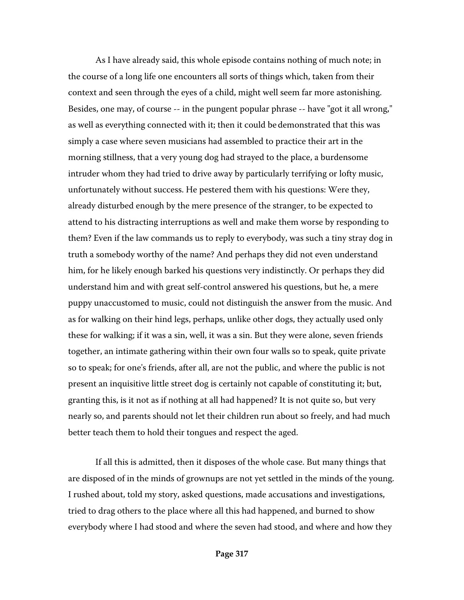As I have already said, this whole episode contains nothing of much note; in the course of a long life one encounters all sorts of things which, taken from their context and seen through the eyes of a child, might well seem far more astonishing. Besides, one may, of course -- in the pungent popular phrase -- have "got it all wrong," as well as everything connected with it; then it could bedemonstrated that this was simply a case where seven musicians had assembled to practice their art in the morning stillness, that a very young dog had strayed to the place, a burdensome intruder whom they had tried to drive away by particularly terrifying or lofty music, unfortunately without success. He pestered them with his questions: Were they, already disturbed enough by the mere presence of the stranger, to be expected to attend to his distracting interruptions as well and make them worse by responding to them? Even if the law commands us to reply to everybody, was such a tiny stray dog in truth a somebody worthy of the name? And perhaps they did not even understand him, for he likely enough barked his questions very indistinctly. Or perhaps they did understand him and with great self-control answered his questions, but he, a mere puppy unaccustomed to music, could not distinguish the answer from the music. And as for walking on their hind legs, perhaps, unlike other dogs, they actually used only these for walking; if it was a sin, well, it was a sin. But they were alone, seven friends together, an intimate gathering within their own four walls so to speak, quite private so to speak; for one's friends, after all, are not the public, and where the public is not present an inquisitive little street dog is certainly not capable of constituting it; but, granting this, is it not as if nothing at all had happened? It is not quite so, but very nearly so, and parents should not let their children run about so freely, and had much better teach them to hold their tongues and respect the aged.

 If all this is admitted, then it disposes of the whole case. But many things that are disposed of in the minds of grownups are not yet settled in the minds of the young. I rushed about, told my story, asked questions, made accusations and investigations, tried to drag others to the place where all this had happened, and burned to show everybody where I had stood and where the seven had stood, and where and how they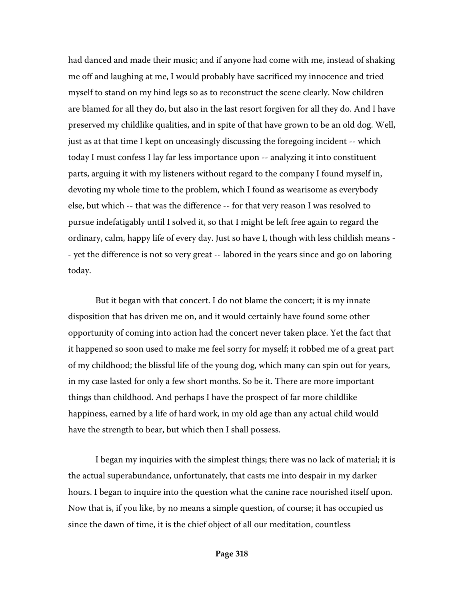had danced and made their music; and if anyone had come with me, instead of shaking me off and laughing at me, I would probably have sacrificed my innocence and tried myself to stand on my hind legs so as to reconstruct the scene clearly. Now children are blamed for all they do, but also in the last resort forgiven for all they do. And I have preserved my childlike qualities, and in spite of that have grown to be an old dog. Well, just as at that time I kept on unceasingly discussing the foregoing incident -- which today I must confess I lay far less importance upon -- analyzing it into constituent parts, arguing it with my listeners without regard to the company I found myself in, devoting my whole time to the problem, which I found as wearisome as everybody else, but which -- that was the difference -- for that very reason I was resolved to pursue indefatigably until I solved it, so that I might be left free again to regard the ordinary, calm, happy life of every day. Just so have I, though with less childish means - - yet the difference is not so very great -- labored in the years since and go on laboring today.

 But it began with that concert. I do not blame the concert; it is my innate disposition that has driven me on, and it would certainly have found some other opportunity of coming into action had the concert never taken place. Yet the fact that it happened so soon used to make me feel sorry for myself; it robbed me of a great part of my childhood; the blissful life of the young dog, which many can spin out for years, in my case lasted for only a few short months. So be it. There are more important things than childhood. And perhaps I have the prospect of far more childlike happiness, earned by a life of hard work, in my old age than any actual child would have the strength to bear, but which then I shall possess.

 I began my inquiries with the simplest things; there was no lack of material; it is the actual superabundance, unfortunately, that casts me into despair in my darker hours. I began to inquire into the question what the canine race nourished itself upon. Now that is, if you like, by no means a simple question, of course; it has occupied us since the dawn of time, it is the chief object of all our meditation, countless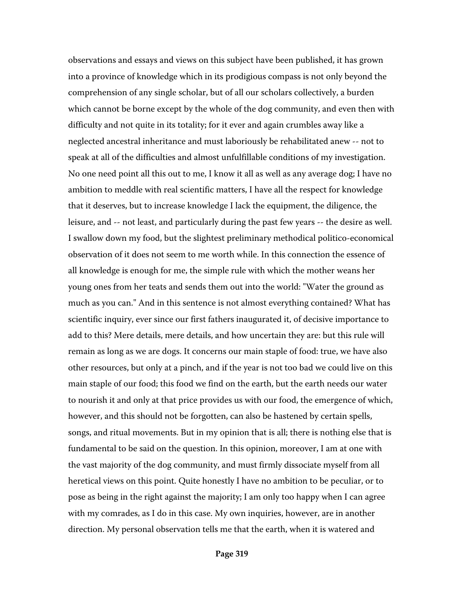observations and essays and views on this subject have been published, it has grown into a province of knowledge which in its prodigious compass is not only beyond the comprehension of any single scholar, but of all our scholars collectively, a burden which cannot be borne except by the whole of the dog community, and even then with difficulty and not quite in its totality; for it ever and again crumbles away like a neglected ancestral inheritance and must laboriously be rehabilitated anew -- not to speak at all of the difficulties and almost unfulfillable conditions of my investigation. No one need point all this out to me, I know it all as well as any average dog; I have no ambition to meddle with real scientific matters, I have all the respect for knowledge that it deserves, but to increase knowledge I lack the equipment, the diligence, the leisure, and -- not least, and particularly during the past few years -- the desire as well. I swallow down my food, but the slightest preliminary methodical politico-economical observation of it does not seem to me worth while. In this connection the essence of all knowledge is enough for me, the simple rule with which the mother weans her young ones from her teats and sends them out into the world: "Water the ground as much as you can." And in this sentence is not almost everything contained? What has scientific inquiry, ever since our first fathers inaugurated it, of decisive importance to add to this? Mere details, mere details, and how uncertain they are: but this rule will remain as long as we are dogs. It concerns our main staple of food: true, we have also other resources, but only at a pinch, and if the year is not too bad we could live on this main staple of our food; this food we find on the earth, but the earth needs our water to nourish it and only at that price provides us with our food, the emergence of which, however, and this should not be forgotten, can also be hastened by certain spells, songs, and ritual movements. But in my opinion that is all; there is nothing else that is fundamental to be said on the question. In this opinion, moreover, I am at one with the vast majority of the dog community, and must firmly dissociate myself from all heretical views on this point. Quite honestly I have no ambition to be peculiar, or to pose as being in the right against the majority; I am only too happy when I can agree with my comrades, as I do in this case. My own inquiries, however, are in another direction. My personal observation tells me that the earth, when it is watered and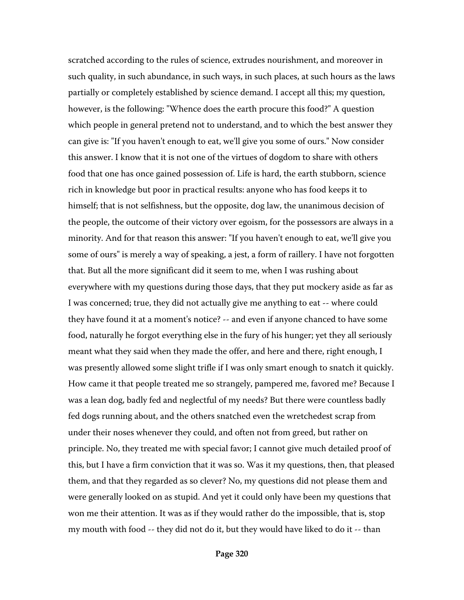scratched according to the rules of science, extrudes nourishment, and moreover in such quality, in such abundance, in such ways, in such places, at such hours as the laws partially or completely established by science demand. I accept all this; my question, however, is the following: "Whence does the earth procure this food?" A question which people in general pretend not to understand, and to which the best answer they can give is: "If you haven't enough to eat, we'll give you some of ours." Now consider this answer. I know that it is not one of the virtues of dogdom to share with others food that one has once gained possession of. Life is hard, the earth stubborn, science rich in knowledge but poor in practical results: anyone who has food keeps it to himself; that is not selfishness, but the opposite, dog law, the unanimous decision of the people, the outcome of their victory over egoism, for the possessors are always in a minority. And for that reason this answer: "If you haven't enough to eat, we'll give you some of ours" is merely a way of speaking, a jest, a form of raillery. I have not forgotten that. But all the more significant did it seem to me, when I was rushing about everywhere with my questions during those days, that they put mockery aside as far as I was concerned; true, they did not actually give me anything to eat -- where could they have found it at a moment's notice? -- and even if anyone chanced to have some food, naturally he forgot everything else in the fury of his hunger; yet they all seriously meant what they said when they made the offer, and here and there, right enough, I was presently allowed some slight trifle if I was only smart enough to snatch it quickly. How came it that people treated me so strangely, pampered me, favored me? Because I was a lean dog, badly fed and neglectful of my needs? But there were countless badly fed dogs running about, and the others snatched even the wretchedest scrap from under their noses whenever they could, and often not from greed, but rather on principle. No, they treated me with special favor; I cannot give much detailed proof of this, but I have a firm conviction that it was so. Was it my questions, then, that pleased them, and that they regarded as so clever? No, my questions did not please them and were generally looked on as stupid. And yet it could only have been my questions that won me their attention. It was as if they would rather do the impossible, that is, stop my mouth with food -- they did not do it, but they would have liked to do it -- than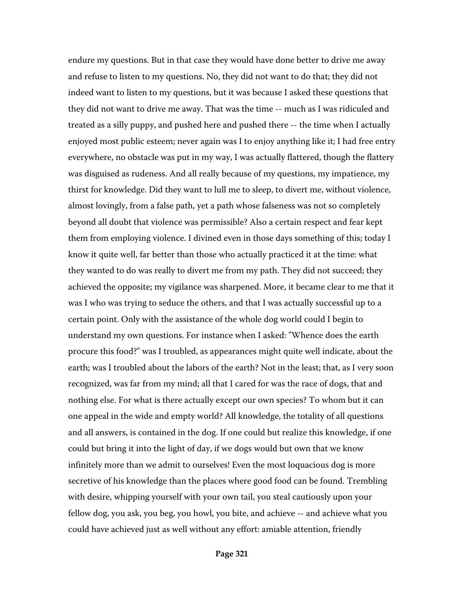endure my questions. But in that case they would have done better to drive me away and refuse to listen to my questions. No, they did not want to do that; they did not indeed want to listen to my questions, but it was because I asked these questions that they did not want to drive me away. That was the time -- much as I was ridiculed and treated as a silly puppy, and pushed here and pushed there -- the time when I actually enjoyed most public esteem; never again was I to enjoy anything like it; I had free entry everywhere, no obstacle was put in my way, I was actually flattered, though the flattery was disguised as rudeness. And all really because of my questions, my impatience, my thirst for knowledge. Did they want to lull me to sleep, to divert me, without violence, almost lovingly, from a false path, yet a path whose falseness was not so completely beyond all doubt that violence was permissible? Also a certain respect and fear kept them from employing violence. I divined even in those days something of this; today I know it quite well, far better than those who actually practiced it at the time: what they wanted to do was really to divert me from my path. They did not succeed; they achieved the opposite; my vigilance was sharpened. More, it became clear to me that it was I who was trying to seduce the others, and that I was actually successful up to a certain point. Only with the assistance of the whole dog world could I begin to understand my own questions. For instance when I asked: "Whence does the earth procure this food?" was I troubled, as appearances might quite well indicate, about the earth; was I troubled about the labors of the earth? Not in the least; that, as I very soon recognized, was far from my mind; all that I cared for was the race of dogs, that and nothing else. For what is there actually except our own species? To whom but it can one appeal in the wide and empty world? All knowledge, the totality of all questions and all answers, is contained in the dog. If one could but realize this knowledge, if one could but bring it into the light of day, if we dogs would but own that we know infinitely more than we admit to ourselves! Even the most loquacious dog is more secretive of his knowledge than the places where good food can be found. Trembling with desire, whipping yourself with your own tail, you steal cautiously upon your fellow dog, you ask, you beg, you howl, you bite, and achieve -- and achieve what you could have achieved just as well without any effort: amiable attention, friendly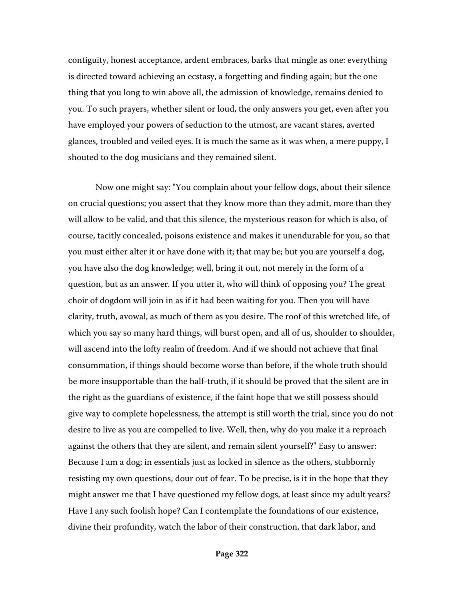contiguity, honest acceptance, ardent embraces, barks that mingle as one: everything is directed toward achieving an ecstasy, a forgetting and finding again; but the one thing that you long to win above all, the admission of knowledge, remains denied to you. To such prayers, whether silent or loud, the only answers you get, even after you have employed your powers of seduction to the utmost, are vacant stares, averted glances, troubled and veiled eyes. It is much the same as it was when, a mere puppy, I shouted to the dog musicians and they remained silent.

 Now one might say: "You complain about your fellow dogs, about their silence on crucial questions; you assert that they know more than they admit, more than they will allow to be valid, and that this silence, the mysterious reason for which is also, of course, tacitly concealed, poisons existence and makes it unendurable for you, so that you must either alter it or have done with it; that may be; but you are yourself a dog, you have also the dog knowledge; well, bring it out, not merely in the form of a question, but as an answer. If you utter it, who will think of opposing you? The great choir of dogdom will join in as if it had been waiting for you. Then you will have clarity, truth, avowal, as much of them as you desire. The roof of this wretched life, of which you say so many hard things, will burst open, and all of us, shoulder to shoulder, will ascend into the lofty realm of freedom. And if we should not achieve that final consummation, if things should become worse than before, if the whole truth should be more insupportable than the half-truth, if it should be proved that the silent are in the right as the guardians of existence, if the faint hope that we still possess should give way to complete hopelessness, the attempt is still worth the trial, since you do not desire to live as you are compelled to live. Well, then, why do you make it a reproach against the others that they are silent, and remain silent yourself?" Easy to answer: Because I am a dog; in essentials just as locked in silence as the others, stubbornly resisting my own questions, dour out of fear. To be precise, is it in the hope that they might answer me that I have questioned my fellow dogs, at least since my adult years? Have I any such foolish hope? Can I contemplate the foundations of our existence, divine their profundity, watch the labor of their construction, that dark labor, and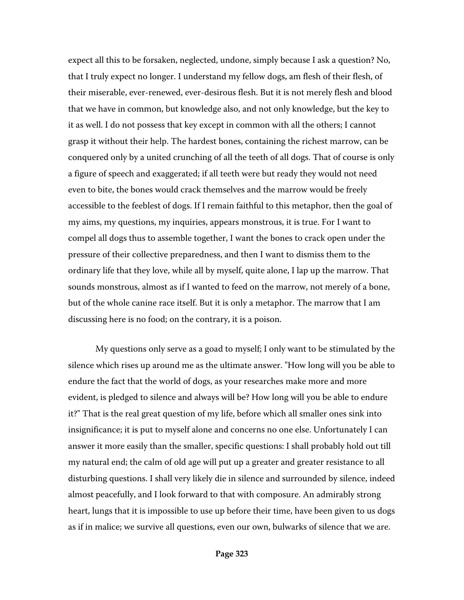expect all this to be forsaken, neglected, undone, simply because I ask a question? No, that I truly expect no longer. I understand my fellow dogs, am flesh of their flesh, of their miserable, ever-renewed, ever-desirous flesh. But it is not merely flesh and blood that we have in common, but knowledge also, and not only knowledge, but the key to it as well. I do not possess that key except in common with all the others; I cannot grasp it without their help. The hardest bones, containing the richest marrow, can be conquered only by a united crunching of all the teeth of all dogs. That of course is only a figure of speech and exaggerated; if all teeth were but ready they would not need even to bite, the bones would crack themselves and the marrow would be freely accessible to the feeblest of dogs. If I remain faithful to this metaphor, then the goal of my aims, my questions, my inquiries, appears monstrous, it is true. For I want to compel all dogs thus to assemble together, I want the bones to crack open under the pressure of their collective preparedness, and then I want to dismiss them to the ordinary life that they love, while all by myself, quite alone, I lap up the marrow. That sounds monstrous, almost as if I wanted to feed on the marrow, not merely of a bone, but of the whole canine race itself. But it is only a metaphor. The marrow that I am discussing here is no food; on the contrary, it is a poison.

 My questions only serve as a goad to myself; I only want to be stimulated by the silence which rises up around me as the ultimate answer. "How long will you be able to endure the fact that the world of dogs, as your researches make more and more evident, is pledged to silence and always will be? How long will you be able to endure it?" That is the real great question of my life, before which all smaller ones sink into insignificance; it is put to myself alone and concerns no one else. Unfortunately I can answer it more easily than the smaller, specific questions: I shall probably hold out till my natural end; the calm of old age will put up a greater and greater resistance to all disturbing questions. I shall very likely die in silence and surrounded by silence, indeed almost peacefully, and I look forward to that with composure. An admirably strong heart, lungs that it is impossible to use up before their time, have been given to us dogs as if in malice; we survive all questions, even our own, bulwarks of silence that we are.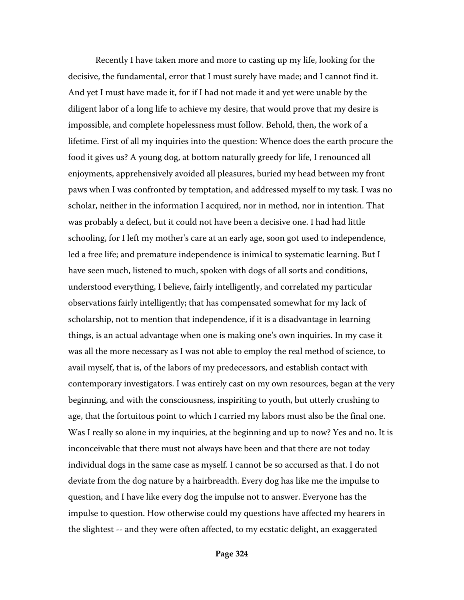Recently I have taken more and more to casting up my life, looking for the decisive, the fundamental, error that I must surely have made; and I cannot find it. And yet I must have made it, for if I had not made it and yet were unable by the diligent labor of a long life to achieve my desire, that would prove that my desire is impossible, and complete hopelessness must follow. Behold, then, the work of a lifetime. First of all my inquiries into the question: Whence does the earth procure the food it gives us? A young dog, at bottom naturally greedy for life, I renounced all enjoyments, apprehensively avoided all pleasures, buried my head between my front paws when I was confronted by temptation, and addressed myself to my task. I was no scholar, neither in the information I acquired, nor in method, nor in intention. That was probably a defect, but it could not have been a decisive one. I had had little schooling, for I left my mother's care at an early age, soon got used to independence, led a free life; and premature independence is inimical to systematic learning. But I have seen much, listened to much, spoken with dogs of all sorts and conditions, understood everything, I believe, fairly intelligently, and correlated my particular observations fairly intelligently; that has compensated somewhat for my lack of scholarship, not to mention that independence, if it is a disadvantage in learning things, is an actual advantage when one is making one's own inquiries. In my case it was all the more necessary as I was not able to employ the real method of science, to avail myself, that is, of the labors of my predecessors, and establish contact with contemporary investigators. I was entirely cast on my own resources, began at the very beginning, and with the consciousness, inspiriting to youth, but utterly crushing to age, that the fortuitous point to which I carried my labors must also be the final one. Was I really so alone in my inquiries, at the beginning and up to now? Yes and no. It is inconceivable that there must not always have been and that there are not today individual dogs in the same case as myself. I cannot be so accursed as that. I do not deviate from the dog nature by a hairbreadth. Every dog has like me the impulse to question, and I have like every dog the impulse not to answer. Everyone has the impulse to question. How otherwise could my questions have affected my hearers in the slightest -- and they were often affected, to my ecstatic delight, an exaggerated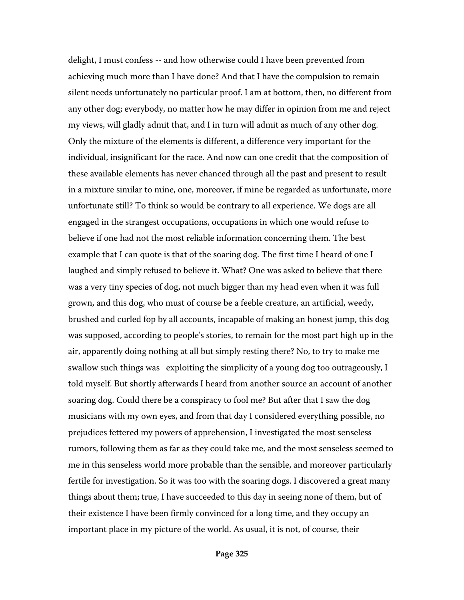delight, I must confess -- and how otherwise could I have been prevented from achieving much more than I have done? And that I have the compulsion to remain silent needs unfortunately no particular proof. I am at bottom, then, no different from any other dog; everybody, no matter how he may differ in opinion from me and reject my views, will gladly admit that, and I in turn will admit as much of any other dog. Only the mixture of the elements is different, a difference very important for the individual, insignificant for the race. And now can one credit that the composition of these available elements has never chanced through all the past and present to result in a mixture similar to mine, one, moreover, if mine be regarded as unfortunate, more unfortunate still? To think so would be contrary to all experience. We dogs are all engaged in the strangest occupations, occupations in which one would refuse to believe if one had not the most reliable information concerning them. The best example that I can quote is that of the soaring dog. The first time I heard of one I laughed and simply refused to believe it. What? One was asked to believe that there was a very tiny species of dog, not much bigger than my head even when it was full grown, and this dog, who must of course be a feeble creature, an artificial, weedy, brushed and curled fop by all accounts, incapable of making an honest jump, this dog was supposed, according to people's stories, to remain for the most part high up in the air, apparently doing nothing at all but simply resting there? No, to try to make me swallow such things was exploiting the simplicity of a young dog too outrageously, I told myself. But shortly afterwards I heard from another source an account of another soaring dog. Could there be a conspiracy to fool me? But after that I saw the dog musicians with my own eyes, and from that day I considered everything possible, no prejudices fettered my powers of apprehension, I investigated the most senseless rumors, following them as far as they could take me, and the most senseless seemed to me in this senseless world more probable than the sensible, and moreover particularly fertile for investigation. So it was too with the soaring dogs. I discovered a great many things about them; true, I have succeeded to this day in seeing none of them, but of their existence I have been firmly convinced for a long time, and they occupy an important place in my picture of the world. As usual, it is not, of course, their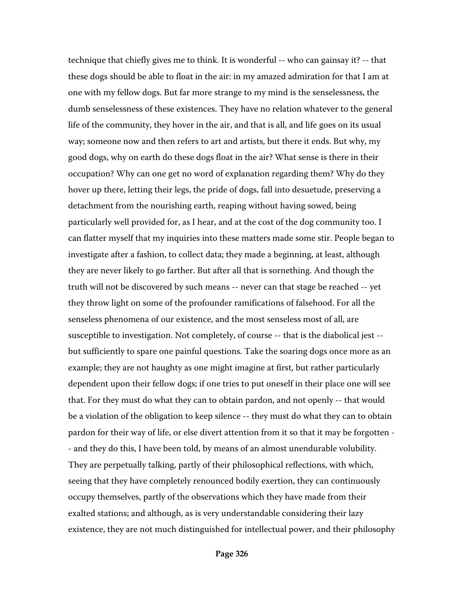technique that chiefly gives me to think. It is wonderful -- who can gainsay it? -- that these dogs should be able to float in the air: in my amazed admiration for that I am at one with my fellow dogs. But far more strange to my mind is the senselessness, the dumb senselessness of these existences. They have no relation whatever to the general life of the community, they hover in the air, and that is all, and life goes on its usual way; someone now and then refers to art and artists, but there it ends. But why, my good dogs, why on earth do these dogs float in the air? What sense is there in their occupation? Why can one get no word of explanation regarding them? Why do they hover up there, letting their legs, the pride of dogs, fall into desuetude, preserving a detachment from the nourishing earth, reaping without having sowed, being particularly well provided for, as I hear, and at the cost of the dog community too. I can flatter myself that my inquiries into these matters made some stir. People began to investigate after a fashion, to collect data; they made a beginning, at least, although they are never likely to go farther. But after all that is sornething. And though the truth will not be discovered by such means -- never can that stage be reached -- yet they throw light on some of the profounder ramifications of falsehood. For all the senseless phenomena of our existence, and the most senseless most of all, are susceptible to investigation. Not completely, of course -- that is the diabolical jest - but sufficiently to spare one painful questions. Take the soaring dogs once more as an example; they are not haughty as one might imagine at first, but rather particularly dependent upon their fellow dogs; if one tries to put oneself in their place one will see that. For they must do what they can to obtain pardon, and not openly -- that would be a violation of the obligation to keep silence -- they must do what they can to obtain pardon for their way of life, or else divert attention from it so that it may be forgotten - - and they do this, I have been told, by means of an almost unendurable volubility. They are perpetually talking, partly of their philosophical reflections, with which, seeing that they have completely renounced bodily exertion, they can continuously occupy themselves, partly of the observations which they have made from their exalted stations; and although, as is very understandable considering their lazy existence, they are not much distinguished for intellectual power, and their philosophy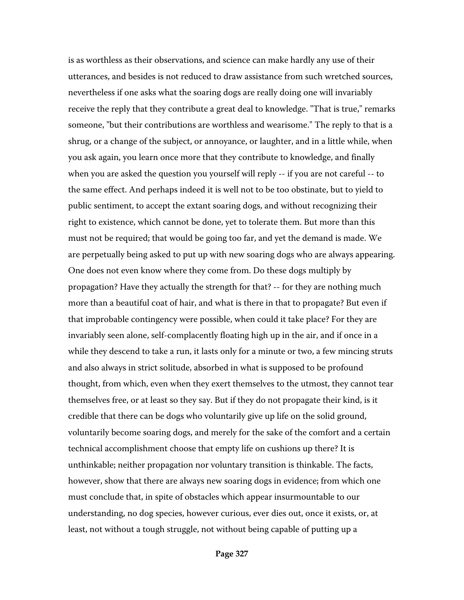is as worthless as their observations, and science can make hardly any use of their utterances, and besides is not reduced to draw assistance from such wretched sources, nevertheless if one asks what the soaring dogs are really doing one will invariably receive the reply that they contribute a great deal to knowledge. "That is true," remarks someone, "but their contributions are worthless and wearisome." The reply to that is a shrug, or a change of the subject, or annoyance, or laughter, and in a little while, when you ask again, you learn once more that they contribute to knowledge, and finally when you are asked the question you yourself will reply -- if you are not careful -- to the same effect. And perhaps indeed it is well not to be too obstinate, but to yield to public sentiment, to accept the extant soaring dogs, and without recognizing their right to existence, which cannot be done, yet to tolerate them. But more than this must not be required; that would be going too far, and yet the demand is made. We are perpetually being asked to put up with new soaring dogs who are always appearing. One does not even know where they come from. Do these dogs multiply by propagation? Have they actually the strength for that? -- for they are nothing much more than a beautiful coat of hair, and what is there in that to propagate? But even if that improbable contingency were possible, when could it take place? For they are invariably seen alone, self-complacently floating high up in the air, and if once in a while they descend to take a run, it lasts only for a minute or two, a few mincing struts and also always in strict solitude, absorbed in what is supposed to be profound thought, from which, even when they exert themselves to the utmost, they cannot tear themselves free, or at least so they say. But if they do not propagate their kind, is it credible that there can be dogs who voluntarily give up life on the solid ground, voluntarily become soaring dogs, and merely for the sake of the comfort and a certain technical accomplishment choose that empty life on cushions up there? It is unthinkable; neither propagation nor voluntary transition is thinkable. The facts, however, show that there are always new soaring dogs in evidence; from which one must conclude that, in spite of obstacles which appear insurmountable to our understanding, no dog species, however curious, ever dies out, once it exists, or, at least, not without a tough struggle, not without being capable of putting up a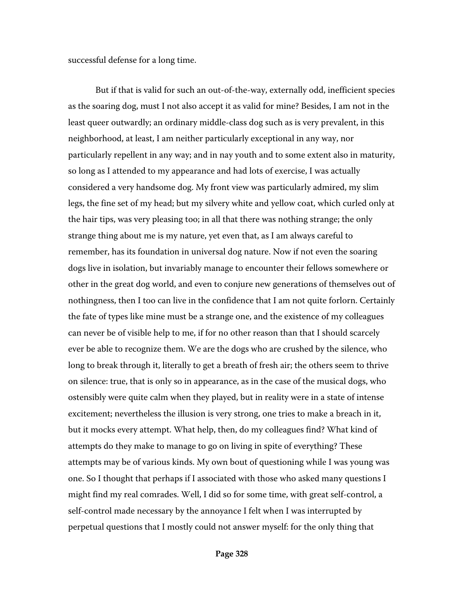successful defense for a long time.

 But if that is valid for such an out-of-the-way, externally odd, inefficient species as the soaring dog, must I not also accept it as valid for mine? Besides, I am not in the least queer outwardly; an ordinary middle-class dog such as is very prevalent, in this neighborhood, at least, I am neither particularly exceptional in any way, nor particularly repellent in any way; and in nay youth and to some extent also in maturity, so long as I attended to my appearance and had lots of exercise, I was actually considered a very handsome dog. My front view was particularly admired, my slim legs, the fine set of my head; but my silvery white and yellow coat, which curled only at the hair tips, was very pleasing too; in all that there was nothing strange; the only strange thing about me is my nature, yet even that, as I am always careful to remember, has its foundation in universal dog nature. Now if not even the soaring dogs live in isolation, but invariably manage to encounter their fellows somewhere or other in the great dog world, and even to conjure new generations of themselves out of nothingness, then I too can live in the confidence that I am not quite forlorn. Certainly the fate of types like mine must be a strange one, and the existence of my colleagues can never be of visible help to me, if for no other reason than that I should scarcely ever be able to recognize them. We are the dogs who are crushed by the silence, who long to break through it, literally to get a breath of fresh air; the others seem to thrive on silence: true, that is only so in appearance, as in the case of the musical dogs, who ostensibly were quite calm when they played, but in reality were in a state of intense excitement; nevertheless the illusion is very strong, one tries to make a breach in it, but it mocks every attempt. What help, then, do my colleagues find? What kind of attempts do they make to manage to go on living in spite of everything? These attempts may be of various kinds. My own bout of questioning while I was young was one. So I thought that perhaps if I associated with those who asked many questions I might find my real comrades. Well, I did so for some time, with great self-control, a self-control made necessary by the annoyance I felt when I was interrupted by perpetual questions that I mostly could not answer myself: for the only thing that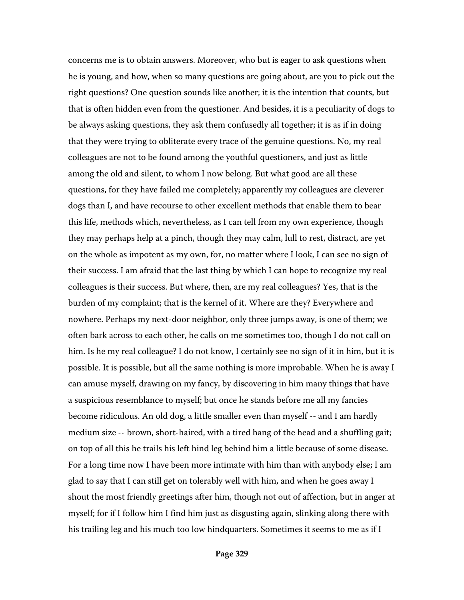concerns me is to obtain answers. Moreover, who but is eager to ask questions when he is young, and how, when so many questions are going about, are you to pick out the right questions? One question sounds like another; it is the intention that counts, but that is often hidden even from the questioner. And besides, it is a peculiarity of dogs to be always asking questions, they ask them confusedly all together; it is as if in doing that they were trying to obliterate every trace of the genuine questions. No, my real colleagues are not to be found among the youthful questioners, and just as little among the old and silent, to whom I now belong. But what good are all these questions, for they have failed me completely; apparently my colleagues are cleverer dogs than I, and have recourse to other excellent methods that enable them to bear this life, methods which, nevertheless, as I can tell from my own experience, though they may perhaps help at a pinch, though they may calm, lull to rest, distract, are yet on the whole as impotent as my own, for, no matter where I look, I can see no sign of their success. I am afraid that the last thing by which I can hope to recognize my real colleagues is their success. But where, then, are my real colleagues? Yes, that is the burden of my complaint; that is the kernel of it. Where are they? Everywhere and nowhere. Perhaps my next-door neighbor, only three jumps away, is one of them; we often bark across to each other, he calls on me sometimes too, though I do not call on him. Is he my real colleague? I do not know, I certainly see no sign of it in him, but it is possible. It is possible, but all the same nothing is more improbable. When he is away I can amuse myself, drawing on my fancy, by discovering in him many things that have a suspicious resemblance to myself; but once he stands before me all my fancies become ridiculous. An old dog, a little smaller even than myself -- and I am hardly medium size -- brown, short-haired, with a tired hang of the head and a shuffling gait; on top of all this he trails his left hind leg behind him a little because of some disease. For a long time now I have been more intimate with him than with anybody else; I am glad to say that I can still get on tolerably well with him, and when he goes away I shout the most friendly greetings after him, though not out of affection, but in anger at myself; for if I follow him I find him just as disgusting again, slinking along there with his trailing leg and his much too low hindquarters. Sometimes it seems to me as if I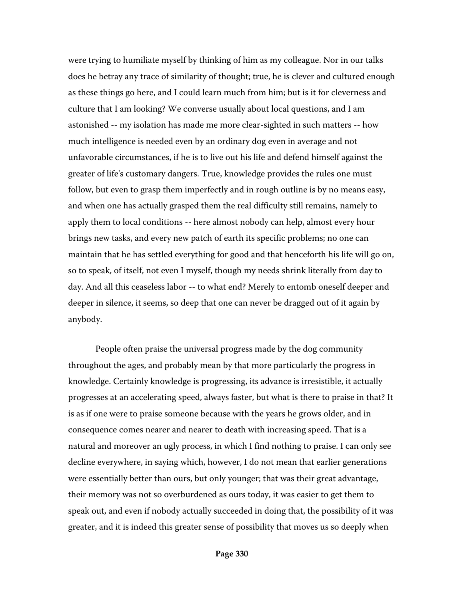were trying to humiliate myself by thinking of him as my colleague. Nor in our talks does he betray any trace of similarity of thought; true, he is clever and cultured enough as these things go here, and I could learn much from him; but is it for cleverness and culture that I am looking? We converse usually about local questions, and I am astonished -- my isolation has made me more clear-sighted in such matters -- how much intelligence is needed even by an ordinary dog even in average and not unfavorable circumstances, if he is to live out his life and defend himself against the greater of life's customary dangers. True, knowledge provides the rules one must follow, but even to grasp them imperfectly and in rough outline is by no means easy, and when one has actually grasped them the real difficulty still remains, namely to apply them to local conditions -- here almost nobody can help, almost every hour brings new tasks, and every new patch of earth its specific problems; no one can maintain that he has settled everything for good and that henceforth his life will go on, so to speak, of itself, not even I myself, though my needs shrink literally from day to day. And all this ceaseless labor -- to what end? Merely to entomb oneself deeper and deeper in silence, it seems, so deep that one can never be dragged out of it again by anybody.

 People often praise the universal progress made by the dog community throughout the ages, and probably mean by that more particularly the progress in knowledge. Certainly knowledge is progressing, its advance is irresistible, it actually progresses at an accelerating speed, always faster, but what is there to praise in that? It is as if one were to praise someone because with the years he grows older, and in consequence comes nearer and nearer to death with increasing speed. That is a natural and moreover an ugly process, in which I find nothing to praise. I can only see decline everywhere, in saying which, however, I do not mean that earlier generations were essentially better than ours, but only younger; that was their great advantage, their memory was not so overburdened as ours today, it was easier to get them to speak out, and even if nobody actually succeeded in doing that, the possibility of it was greater, and it is indeed this greater sense of possibility that moves us so deeply when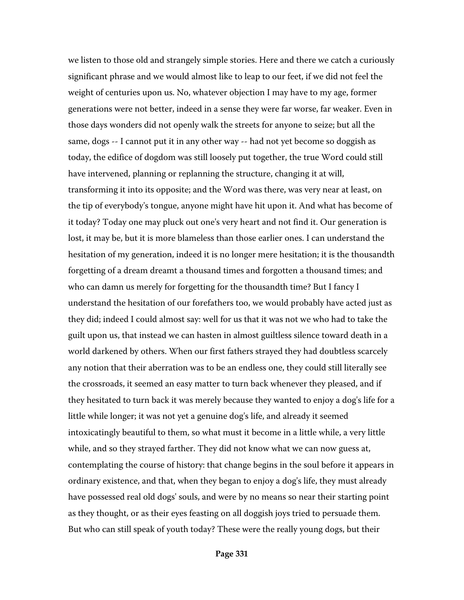we listen to those old and strangely simple stories. Here and there we catch a curiously significant phrase and we would almost like to leap to our feet, if we did not feel the weight of centuries upon us. No, whatever objection I may have to my age, former generations were not better, indeed in a sense they were far worse, far weaker. Even in those days wonders did not openly walk the streets for anyone to seize; but all the same, dogs -- I cannot put it in any other way -- had not yet become so doggish as today, the edifice of dogdom was still loosely put together, the true Word could still have intervened, planning or replanning the structure, changing it at will, transforming it into its opposite; and the Word was there, was very near at least, on the tip of everybody's tongue, anyone might have hit upon it. And what has become of it today? Today one may pluck out one's very heart and not find it. Our generation is lost, it may be, but it is more blameless than those earlier ones. I can understand the hesitation of my generation, indeed it is no longer mere hesitation; it is the thousandth forgetting of a dream dreamt a thousand times and forgotten a thousand times; and who can damn us merely for forgetting for the thousandth time? But I fancy I understand the hesitation of our forefathers too, we would probably have acted just as they did; indeed I could almost say: well for us that it was not we who had to take the guilt upon us, that instead we can hasten in almost guiltless silence toward death in a world darkened by others. When our first fathers strayed they had doubtless scarcely any notion that their aberration was to be an endless one, they could still literally see the crossroads, it seemed an easy matter to turn back whenever they pleased, and if they hesitated to turn back it was merely because they wanted to enjoy a dog's life for a little while longer; it was not yet a genuine dog's life, and already it seemed intoxicatingly beautiful to them, so what must it become in a little while, a very little while, and so they strayed farther. They did not know what we can now guess at, contemplating the course of history: that change begins in the soul before it appears in ordinary existence, and that, when they began to enjoy a dog's life, they must already have possessed real old dogs' souls, and were by no means so near their starting point as they thought, or as their eyes feasting on all doggish joys tried to persuade them. But who can still speak of youth today? These were the really young dogs, but their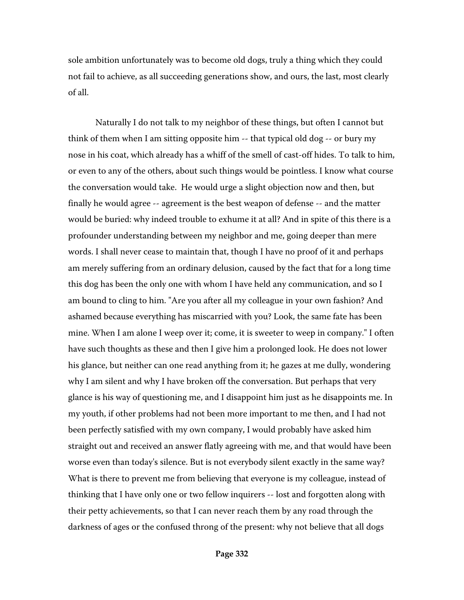sole ambition unfortunately was to become old dogs, truly a thing which they could not fail to achieve, as all succeeding generations show, and ours, the last, most clearly of all.

 Naturally I do not talk to my neighbor of these things, but often I cannot but think of them when I am sitting opposite him -- that typical old dog -- or bury my nose in his coat, which already has a whiff of the smell of cast-off hides. To talk to him, or even to any of the others, about such things would be pointless. I know what course the conversation would take. He would urge a slight objection now and then, but finally he would agree -- agreement is the best weapon of defense -- and the matter would be buried: why indeed trouble to exhume it at all? And in spite of this there is a profounder understanding between my neighbor and me, going deeper than mere words. I shall never cease to maintain that, though I have no proof of it and perhaps am merely suffering from an ordinary delusion, caused by the fact that for a long time this dog has been the only one with whom I have held any communication, and so I am bound to cling to him. "Are you after all my colleague in your own fashion? And ashamed because everything has miscarried with you? Look, the same fate has been mine. When I am alone I weep over it; come, it is sweeter to weep in company." I often have such thoughts as these and then I give him a prolonged look. He does not lower his glance, but neither can one read anything from it; he gazes at me dully, wondering why I am silent and why I have broken off the conversation. But perhaps that very glance is his way of questioning me, and I disappoint him just as he disappoints me. In my youth, if other problems had not been more important to me then, and I had not been perfectly satisfied with my own company, I would probably have asked him straight out and received an answer flatly agreeing with me, and that would have been worse even than today's silence. But is not everybody silent exactly in the same way? What is there to prevent me from believing that everyone is my colleague, instead of thinking that I have only one or two fellow inquirers -- lost and forgotten along with their petty achievements, so that I can never reach them by any road through the darkness of ages or the confused throng of the present: why not believe that all dogs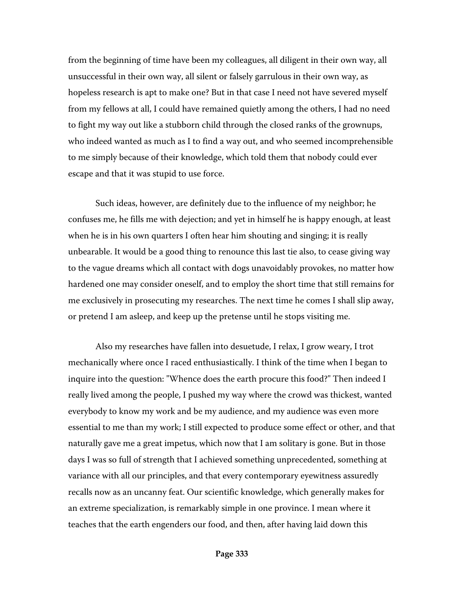from the beginning of time have been my colleagues, all diligent in their own way, all unsuccessful in their own way, all silent or falsely garrulous in their own way, as hopeless research is apt to make one? But in that case I need not have severed myself from my fellows at all, I could have remained quietly among the others, I had no need to fight my way out like a stubborn child through the closed ranks of the grownups, who indeed wanted as much as I to find a way out, and who seemed incomprehensible to me simply because of their knowledge, which told them that nobody could ever escape and that it was stupid to use force.

 Such ideas, however, are definitely due to the influence of my neighbor; he confuses me, he fills me with dejection; and yet in himself he is happy enough, at least when he is in his own quarters I often hear him shouting and singing; it is really unbearable. It would be a good thing to renounce this last tie also, to cease giving way to the vague dreams which all contact with dogs unavoidably provokes, no matter how hardened one may consider oneself, and to employ the short time that still remains for me exclusively in prosecuting my researches. The next time he comes I shall slip away, or pretend I am asleep, and keep up the pretense until he stops visiting me.

 Also my researches have fallen into desuetude, I relax, I grow weary, I trot mechanically where once I raced enthusiastically. I think of the time when I began to inquire into the question: "Whence does the earth procure this food?" Then indeed I really lived among the people, I pushed my way where the crowd was thickest, wanted everybody to know my work and be my audience, and my audience was even more essential to me than my work; I still expected to produce some effect or other, and that naturally gave me a great impetus, which now that I am solitary is gone. But in those days I was so full of strength that I achieved something unprecedented, something at variance with all our principles, and that every contemporary eyewitness assuredly recalls now as an uncanny feat. Our scientific knowledge, which generally makes for an extreme specialization, is remarkably simple in one province. I mean where it teaches that the earth engenders our food, and then, after having laid down this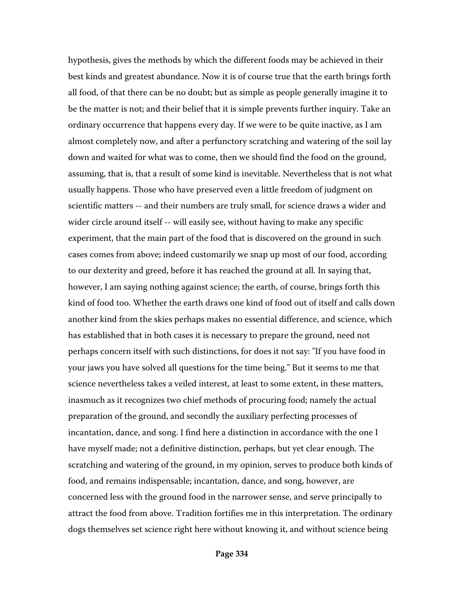hypothesis, gives the methods by which the different foods may be achieved in their best kinds and greatest abundance. Now it is of course true that the earth brings forth all food, of that there can be no doubt; but as simple as people generally imagine it to be the matter is not; and their belief that it is simple prevents further inquiry. Take an ordinary occurrence that happens every day. If we were to be quite inactive, as I am almost completely now, and after a perfunctory scratching and watering of the soil lay down and waited for what was to come, then we should find the food on the ground, assuming, that is, that a result of some kind is inevitable. Nevertheless that is not what usually happens. Those who have preserved even a little freedom of judgment on scientific matters -- and their numbers are truly small, for science draws a wider and wider circle around itself -- will easily see, without having to make any specific experiment, that the main part of the food that is discovered on the ground in such cases comes from above; indeed customarily we snap up most of our food, according to our dexterity and greed, before it has reached the ground at all. In saying that, however, I am saying nothing against science; the earth, of course, brings forth this kind of food too. Whether the earth draws one kind of food out of itself and calls down another kind from the skies perhaps makes no essential difference, and science, which has established that in both cases it is necessary to prepare the ground, need not perhaps concern itself with such distinctions, for does it not say: "If you have food in your jaws you have solved all questions for the time being." But it seems to me that science nevertheless takes a veiled interest, at least to some extent, in these matters, inasmuch as it recognizes two chief methods of procuring food; namely the actual preparation of the ground, and secondly the auxiliary perfecting processes of incantation, dance, and song. I find here a distinction in accordance with the one I have myself made; not a definitive distinction, perhaps, but yet clear enough. The scratching and watering of the ground, in my opinion, serves to produce both kinds of food, and remains indispensable; incantation, dance, and song, however, are concerned less with the ground food in the narrower sense, and serve principally to attract the food from above. Tradition fortifies me in this interpretation. The ordinary dogs themselves set science right here without knowing it, and without science being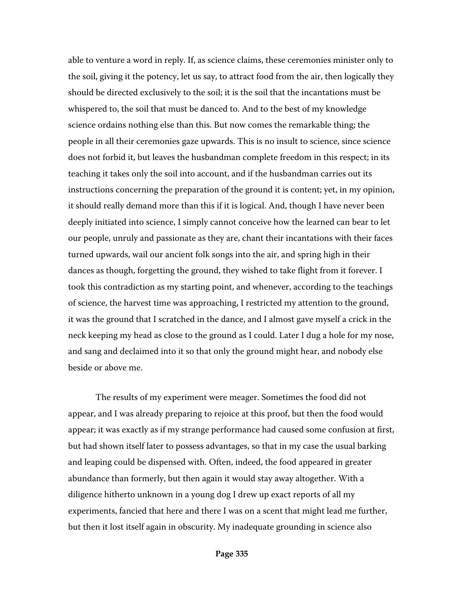able to venture a word in reply. If, as science claims, these ceremonies minister only to the soil, giving it the potency, let us say, to attract food from the air, then logically they should be directed exclusively to the soil; it is the soil that the incantations must be whispered to, the soil that must be danced to. And to the best of my knowledge science ordains nothing else than this. But now comes the remarkable thing; the people in all their ceremonies gaze upwards. This is no insult to science, since science does not forbid it, but leaves the husbandman complete freedom in this respect; in its teaching it takes only the soil into account, and if the husbandman carries out its instructions concerning the preparation of the ground it is content; yet, in my opinion, it should really demand more than this if it is logical. And, though I have never been deeply initiated into science, I simply cannot conceive how the learned can bear to let our people, unruly and passionate as they are, chant their incantations with their faces turned upwards, wail our ancient folk songs into the air, and spring high in their dances as though, forgetting the ground, they wished to take flight from it forever. I took this contradiction as my starting point, and whenever, according to the teachings of science, the harvest time was approaching, I restricted my attention to the ground, it was the ground that I scratched in the dance, and I almost gave myself a crick in the neck keeping my head as close to the ground as I could. Later I dug a hole for my nose, and sang and declaimed into it so that only the ground might hear, and nobody else beside or above me.

 The results of my experiment were meager. Sometimes the food did not appear, and I was already preparing to rejoice at this proof, but then the food would appear; it was exactly as if my strange performance had caused some confusion at first, but had shown itself later to possess advantages, so that in my case the usual barking and leaping could be dispensed with. Often, indeed, the food appeared in greater abundance than formerly, but then again it would stay away altogether. With a diligence hitherto unknown in a young dog I drew up exact reports of all my experiments, fancied that here and there I was on a scent that might lead me further, but then it lost itself again in obscurity. My inadequate grounding in science also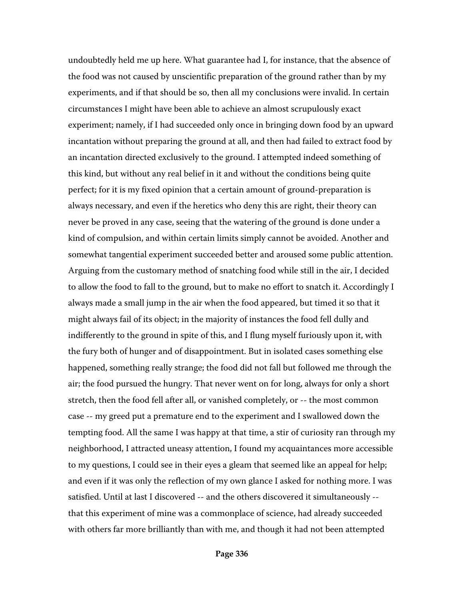undoubtedly held me up here. What guarantee had I, for instance, that the absence of the food was not caused by unscientific preparation of the ground rather than by my experiments, and if that should be so, then all my conclusions were invalid. In certain circumstances I might have been able to achieve an almost scrupulously exact experiment; namely, if I had succeeded only once in bringing down food by an upward incantation without preparing the ground at all, and then had failed to extract food by an incantation directed exclusively to the ground. I attempted indeed something of this kind, but without any real belief in it and without the conditions being quite perfect; for it is my fixed opinion that a certain amount of ground-preparation is always necessary, and even if the heretics who deny this are right, their theory can never be proved in any case, seeing that the watering of the ground is done under a kind of compulsion, and within certain limits simply cannot be avoided. Another and somewhat tangential experiment succeeded better and aroused some public attention. Arguing from the customary method of snatching food while still in the air, I decided to allow the food to fall to the ground, but to make no effort to snatch it. Accordingly I always made a small jump in the air when the food appeared, but timed it so that it might always fail of its object; in the majority of instances the food fell dully and indifferently to the ground in spite of this, and I flung myself furiously upon it, with the fury both of hunger and of disappointment. But in isolated cases something else happened, something really strange; the food did not fall but followed me through the air; the food pursued the hungry. That never went on for long, always for only a short stretch, then the food fell after all, or vanished completely, or -- the most common case -- my greed put a premature end to the experiment and I swallowed down the tempting food. All the same I was happy at that time, a stir of curiosity ran through my neighborhood, I attracted uneasy attention, I found my acquaintances more accessible to my questions, I could see in their eyes a gleam that seemed like an appeal for help; and even if it was only the reflection of my own glance I asked for nothing more. I was satisfied. Until at last I discovered -- and the others discovered it simultaneously - that this experiment of mine was a commonplace of science, had already succeeded with others far more brilliantly than with me, and though it had not been attempted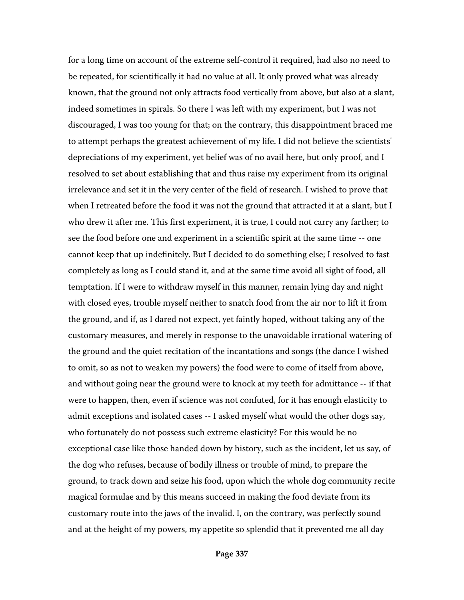for a long time on account of the extreme self-control it required, had also no need to be repeated, for scientifically it had no value at all. It only proved what was already known, that the ground not only attracts food vertically from above, but also at a slant, indeed sometimes in spirals. So there I was left with my experiment, but I was not discouraged, I was too young for that; on the contrary, this disappointment braced me to attempt perhaps the greatest achievement of my life. I did not believe the scientists' depreciations of my experiment, yet belief was of no avail here, but only proof, and I resolved to set about establishing that and thus raise my experiment from its original irrelevance and set it in the very center of the field of research. I wished to prove that when I retreated before the food it was not the ground that attracted it at a slant, but I who drew it after me. This first experiment, it is true, I could not carry any farther; to see the food before one and experiment in a scientific spirit at the same time -- one cannot keep that up indefinitely. But I decided to do something else; I resolved to fast completely as long as I could stand it, and at the same time avoid all sight of food, all temptation. If I were to withdraw myself in this manner, remain lying day and night with closed eyes, trouble myself neither to snatch food from the air nor to lift it from the ground, and if, as I dared not expect, yet faintly hoped, without taking any of the customary measures, and merely in response to the unavoidable irrational watering of the ground and the quiet recitation of the incantations and songs (the dance I wished to omit, so as not to weaken my powers) the food were to come of itself from above, and without going near the ground were to knock at my teeth for admittance -- if that were to happen, then, even if science was not confuted, for it has enough elasticity to admit exceptions and isolated cases -- I asked myself what would the other dogs say, who fortunately do not possess such extreme elasticity? For this would be no exceptional case like those handed down by history, such as the incident, let us say, of the dog who refuses, because of bodily illness or trouble of mind, to prepare the ground, to track down and seize his food, upon which the whole dog community recite magical formulae and by this means succeed in making the food deviate from its customary route into the jaws of the invalid. I, on the contrary, was perfectly sound and at the height of my powers, my appetite so splendid that it prevented me all day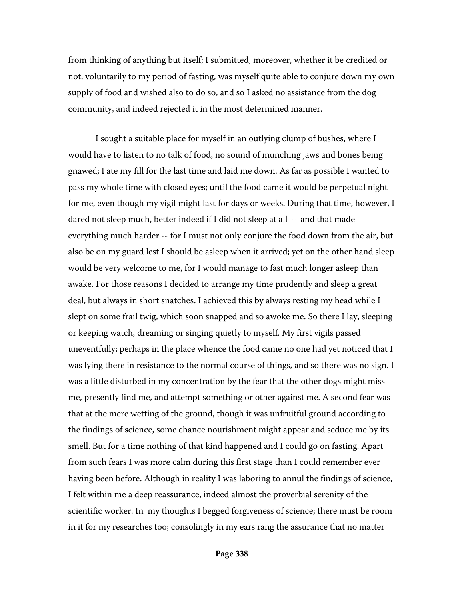from thinking of anything but itself; I submitted, moreover, whether it be credited or not, voluntarily to my period of fasting, was myself quite able to conjure down my own supply of food and wished also to do so, and so I asked no assistance from the dog community, and indeed rejected it in the most determined manner.

 I sought a suitable place for myself in an outlying clump of bushes, where I would have to listen to no talk of food, no sound of munching jaws and bones being gnawed; I ate my fill for the last time and laid me down. As far as possible I wanted to pass my whole time with closed eyes; until the food came it would be perpetual night for me, even though my vigil might last for days or weeks. During that time, however, I dared not sleep much, better indeed if I did not sleep at all -- and that made everything much harder -- for I must not only conjure the food down from the air, but also be on my guard lest I should be asleep when it arrived; yet on the other hand sleep would be very welcome to me, for I would manage to fast much longer asleep than awake. For those reasons I decided to arrange my time prudently and sleep a great deal, but always in short snatches. I achieved this by always resting my head while I slept on some frail twig, which soon snapped and so awoke me. So there I lay, sleeping or keeping watch, dreaming or singing quietly to myself. My first vigils passed uneventfully; perhaps in the place whence the food came no one had yet noticed that I was lying there in resistance to the normal course of things, and so there was no sign. I was a little disturbed in my concentration by the fear that the other dogs might miss me, presently find me, and attempt something or other against me. A second fear was that at the mere wetting of the ground, though it was unfruitful ground according to the findings of science, some chance nourishment might appear and seduce me by its smell. But for a time nothing of that kind happened and I could go on fasting. Apart from such fears I was more calm during this first stage than I could remember ever having been before. Although in reality I was laboring to annul the findings of science, I felt within me a deep reassurance, indeed almost the proverbial serenity of the scientific worker. In my thoughts I begged forgiveness of science; there must be room in it for my researches too; consolingly in my ears rang the assurance that no matter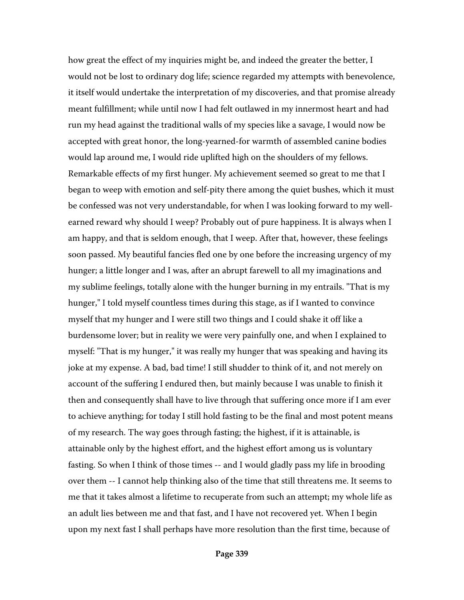how great the effect of my inquiries might be, and indeed the greater the better, I would not be lost to ordinary dog life; science regarded my attempts with benevolence, it itself would undertake the interpretation of my discoveries, and that promise already meant fulfillment; while until now I had felt outlawed in my innermost heart and had run my head against the traditional walls of my species like a savage, I would now be accepted with great honor, the long-yearned-for warmth of assembled canine bodies would lap around me, I would ride uplifted high on the shoulders of my fellows. Remarkable effects of my first hunger. My achievement seemed so great to me that I began to weep with emotion and self-pity there among the quiet bushes, which it must be confessed was not very understandable, for when I was looking forward to my wellearned reward why should I weep? Probably out of pure happiness. It is always when I am happy, and that is seldom enough, that I weep. After that, however, these feelings soon passed. My beautiful fancies fled one by one before the increasing urgency of my hunger; a little longer and I was, after an abrupt farewell to all my imaginations and my sublime feelings, totally alone with the hunger burning in my entrails. "That is my hunger," I told myself countless times during this stage, as if I wanted to convince myself that my hunger and I were still two things and I could shake it off like a burdensome lover; but in reality we were very painfully one, and when I explained to myself: "That is my hunger," it was really my hunger that was speaking and having its joke at my expense. A bad, bad time! I still shudder to think of it, and not merely on account of the suffering I endured then, but mainly because I was unable to finish it then and consequently shall have to live through that suffering once more if I am ever to achieve anything; for today I still hold fasting to be the final and most potent means of my research. The way goes through fasting; the highest, if it is attainable, is attainable only by the highest effort, and the highest effort among us is voluntary fasting. So when I think of those times -- and I would gladly pass my life in brooding over them -- I cannot help thinking also of the time that still threatens me. It seems to me that it takes almost a lifetime to recuperate from such an attempt; my whole life as an adult lies between me and that fast, and I have not recovered yet. When I begin upon my next fast I shall perhaps have more resolution than the first time, because of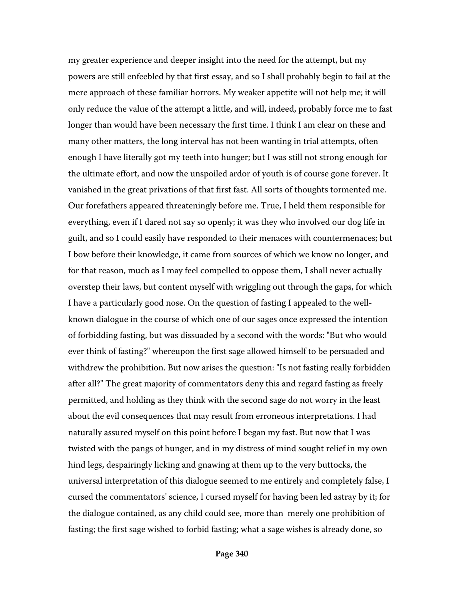my greater experience and deeper insight into the need for the attempt, but my powers are still enfeebled by that first essay, and so I shall probably begin to fail at the mere approach of these familiar horrors. My weaker appetite will not help me; it will only reduce the value of the attempt a little, and will, indeed, probably force me to fast longer than would have been necessary the first time. I think I am clear on these and many other matters, the long interval has not been wanting in trial attempts, often enough I have literally got my teeth into hunger; but I was still not strong enough for the ultimate effort, and now the unspoiled ardor of youth is of course gone forever. It vanished in the great privations of that first fast. All sorts of thoughts tormented me. Our forefathers appeared threateningly before me. True, I held them responsible for everything, even if I dared not say so openly; it was they who involved our dog life in guilt, and so I could easily have responded to their menaces with countermenaces; but I bow before their knowledge, it came from sources of which we know no longer, and for that reason, much as I may feel compelled to oppose them, I shall never actually overstep their laws, but content myself with wriggling out through the gaps, for which I have a particularly good nose. On the question of fasting I appealed to the wellknown dialogue in the course of which one of our sages once expressed the intention of forbidding fasting, but was dissuaded by a second with the words: "But who would ever think of fasting?" whereupon the first sage allowed himself to be persuaded and withdrew the prohibition. But now arises the question: "Is not fasting really forbidden after all?" The great majority of commentators deny this and regard fasting as freely permitted, and holding as they think with the second sage do not worry in the least about the evil consequences that may result from erroneous interpretations. I had naturally assured myself on this point before I began my fast. But now that I was twisted with the pangs of hunger, and in my distress of mind sought relief in my own hind legs, despairingly licking and gnawing at them up to the very buttocks, the universal interpretation of this dialogue seemed to me entirely and completely false, I cursed the commentators' science, I cursed myself for having been led astray by it; for the dialogue contained, as any child could see, more than merely one prohibition of fasting; the first sage wished to forbid fasting; what a sage wishes is already done, so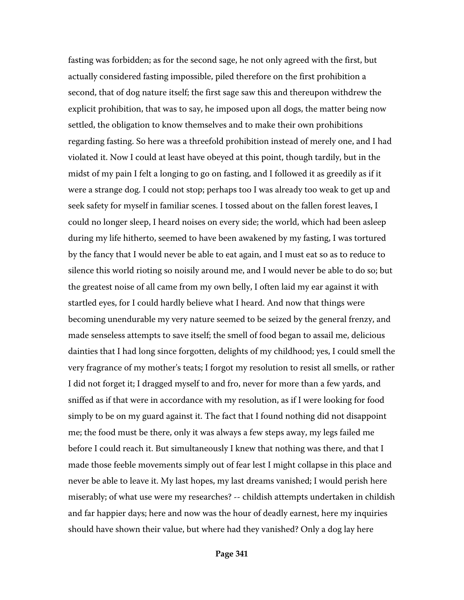fasting was forbidden; as for the second sage, he not only agreed with the first, but actually considered fasting impossible, piled therefore on the first prohibition a second, that of dog nature itself; the first sage saw this and thereupon withdrew the explicit prohibition, that was to say, he imposed upon all dogs, the matter being now settled, the obligation to know themselves and to make their own prohibitions regarding fasting. So here was a threefold prohibition instead of merely one, and I had violated it. Now I could at least have obeyed at this point, though tardily, but in the midst of my pain I felt a longing to go on fasting, and I followed it as greedily as if it were a strange dog. I could not stop; perhaps too I was already too weak to get up and seek safety for myself in familiar scenes. I tossed about on the fallen forest leaves, I could no longer sleep, I heard noises on every side; the world, which had been asleep during my life hitherto, seemed to have been awakened by my fasting, I was tortured by the fancy that I would never be able to eat again, and I must eat so as to reduce to silence this world rioting so noisily around me, and I would never be able to do so; but the greatest noise of all came from my own belly, I often laid my ear against it with startled eyes, for I could hardly believe what I heard. And now that things were becoming unendurable my very nature seemed to be seized by the general frenzy, and made senseless attempts to save itself; the smell of food began to assail me, delicious dainties that I had long since forgotten, delights of my childhood; yes, I could smell the very fragrance of my mother's teats; I forgot my resolution to resist all smells, or rather I did not forget it; I dragged myself to and fro, never for more than a few yards, and sniffed as if that were in accordance with my resolution, as if I were looking for food simply to be on my guard against it. The fact that I found nothing did not disappoint me; the food must be there, only it was always a few steps away, my legs failed me before I could reach it. But simultaneously I knew that nothing was there, and that I made those feeble movements simply out of fear lest I might collapse in this place and never be able to leave it. My last hopes, my last dreams vanished; I would perish here miserably; of what use were my researches? -- childish attempts undertaken in childish and far happier days; here and now was the hour of deadly earnest, here my inquiries should have shown their value, but where had they vanished? Only a dog lay here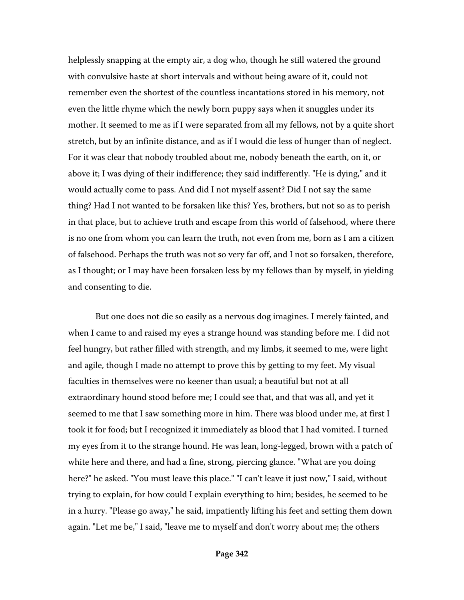helplessly snapping at the empty air, a dog who, though he still watered the ground with convulsive haste at short intervals and without being aware of it, could not remember even the shortest of the countless incantations stored in his memory, not even the little rhyme which the newly born puppy says when it snuggles under its mother. It seemed to me as if I were separated from all my fellows, not by a quite short stretch, but by an infinite distance, and as if I would die less of hunger than of neglect. For it was clear that nobody troubled about me, nobody beneath the earth, on it, or above it; I was dying of their indifference; they said indifferently. "He is dying," and it would actually come to pass. And did I not myself assent? Did I not say the same thing? Had I not wanted to be forsaken like this? Yes, brothers, but not so as to perish in that place, but to achieve truth and escape from this world of falsehood, where there is no one from whom you can learn the truth, not even from me, born as I am a citizen of falsehood. Perhaps the truth was not so very far off, and I not so forsaken, therefore, as I thought; or I may have been forsaken less by my fellows than by myself, in yielding and consenting to die.

 But one does not die so easily as a nervous dog imagines. I merely fainted, and when I came to and raised my eyes a strange hound was standing before me. I did not feel hungry, but rather filled with strength, and my limbs, it seemed to me, were light and agile, though I made no attempt to prove this by getting to my feet. My visual faculties in themselves were no keener than usual; a beautiful but not at all extraordinary hound stood before me; I could see that, and that was all, and yet it seemed to me that I saw something more in him. There was blood under me, at first I took it for food; but I recognized it immediately as blood that I had vomited. I turned my eyes from it to the strange hound. He was lean, long-legged, brown with a patch of white here and there, and had a fine, strong, piercing glance. "What are you doing here?" he asked. "You must leave this place." "I can't leave it just now," I said, without trying to explain, for how could I explain everything to him; besides, he seemed to be in a hurry. "Please go away," he said, impatiently lifting his feet and setting them down again. "Let me be," I said, "leave me to myself and don't worry about me; the others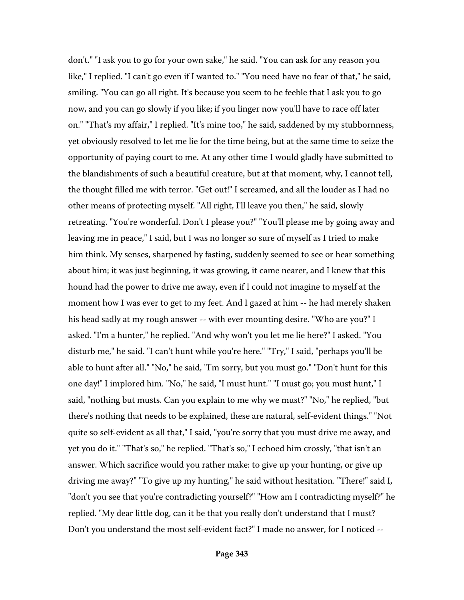don't." "I ask you to go for your own sake," he said. "You can ask for any reason you like," I replied. "I can't go even if I wanted to." "You need have no fear of that," he said, smiling. "You can go all right. It's because you seem to be feeble that I ask you to go now, and you can go slowly if you like; if you linger now you'll have to race off later on." "That's my affair," I replied. "It's mine too," he said, saddened by my stubbornness, yet obviously resolved to let me lie for the time being, but at the same time to seize the opportunity of paying court to me. At any other time I would gladly have submitted to the blandishments of such a beautiful creature, but at that moment, why, I cannot tell, the thought filled me with terror. "Get out!" I screamed, and all the louder as I had no other means of protecting myself. "All right, I'll leave you then," he said, slowly retreating. "You're wonderful. Don't I please you?" "You'll please me by going away and leaving me in peace," I said, but I was no longer so sure of myself as I tried to make him think. My senses, sharpened by fasting, suddenly seemed to see or hear something about him; it was just beginning, it was growing, it came nearer, and I knew that this hound had the power to drive me away, even if I could not imagine to myself at the moment how I was ever to get to my feet. And I gazed at him -- he had merely shaken his head sadly at my rough answer -- with ever mounting desire. "Who are you?" I asked. "I'm a hunter," he replied. "And why won't you let me lie here?" I asked. "You disturb me," he said. "I can't hunt while you're here." "Try," I said, "perhaps you'll be able to hunt after all." "No," he said, "I'm sorry, but you must go." "Don't hunt for this one day!" I implored him. "No," he said, "I must hunt." "I must go; you must hunt," I said, "nothing but musts. Can you explain to me why we must?" "No," he replied, "but there's nothing that needs to be explained, these are natural, self-evident things." "Not quite so self-evident as all that," I said, "you're sorry that you must drive me away, and yet you do it." "That's so," he replied. "That's so," I echoed him crossly, "that isn't an answer. Which sacrifice would you rather make: to give up your hunting, or give up driving me away?" "To give up my hunting," he said without hesitation. "There!" said I, "don't you see that you're contradicting yourself?" "How am I contradicting myself?" he replied. "My dear little dog, can it be that you really don't understand that I must? Don't you understand the most self-evident fact?" I made no answer, for I noticed --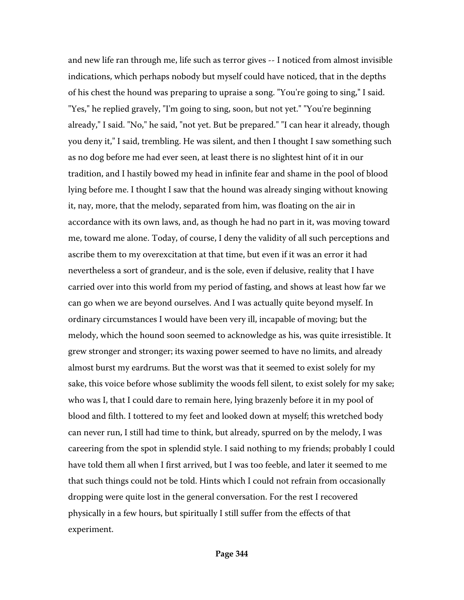and new life ran through me, life such as terror gives -- I noticed from almost invisible indications, which perhaps nobody but myself could have noticed, that in the depths of his chest the hound was preparing to upraise a song. "You're going to sing," I said. "Yes," he replied gravely, "I'm going to sing, soon, but not yet." "You're beginning already," I said. "No," he said, "not yet. But be prepared." "I can hear it already, though you deny it," I said, trembling. He was silent, and then I thought I saw something such as no dog before me had ever seen, at least there is no slightest hint of it in our tradition, and I hastily bowed my head in infinite fear and shame in the pool of blood lying before me. I thought I saw that the hound was already singing without knowing it, nay, more, that the melody, separated from him, was floating on the air in accordance with its own laws, and, as though he had no part in it, was moving toward me, toward me alone. Today, of course, I deny the validity of all such perceptions and ascribe them to my overexcitation at that time, but even if it was an error it had nevertheless a sort of grandeur, and is the sole, even if delusive, reality that I have carried over into this world from my period of fasting, and shows at least how far we can go when we are beyond ourselves. And I was actually quite beyond myself. In ordinary circumstances I would have been very ill, incapable of moving; but the melody, which the hound soon seemed to acknowledge as his, was quite irresistible. It grew stronger and stronger; its waxing power seemed to have no limits, and already almost burst my eardrums. But the worst was that it seemed to exist solely for my sake, this voice before whose sublimity the woods fell silent, to exist solely for my sake; who was I, that I could dare to remain here, lying brazenly before it in my pool of blood and filth. I tottered to my feet and looked down at myself; this wretched body can never run, I still had time to think, but already, spurred on by the melody, I was careering from the spot in splendid style. I said nothing to my friends; probably I could have told them all when I first arrived, but I was too feeble, and later it seemed to me that such things could not be told. Hints which I could not refrain from occasionally dropping were quite lost in the general conversation. For the rest I recovered physically in a few hours, but spiritually I still suffer from the effects of that experiment.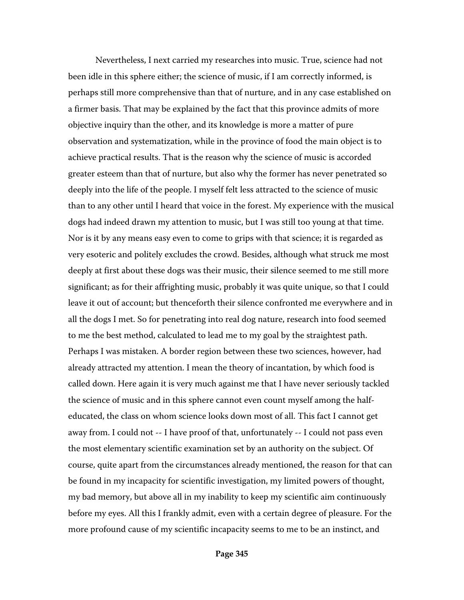Nevertheless, I next carried my researches into music. True, science had not been idle in this sphere either; the science of music, if I am correctly informed, is perhaps still more comprehensive than that of nurture, and in any case established on a firmer basis. That may be explained by the fact that this province admits of more objective inquiry than the other, and its knowledge is more a matter of pure observation and systematization, while in the province of food the main object is to achieve practical results. That is the reason why the science of music is accorded greater esteem than that of nurture, but also why the former has never penetrated so deeply into the life of the people. I myself felt less attracted to the science of music than to any other until I heard that voice in the forest. My experience with the musical dogs had indeed drawn my attention to music, but I was still too young at that time. Nor is it by any means easy even to come to grips with that science; it is regarded as very esoteric and politely excludes the crowd. Besides, although what struck me most deeply at first about these dogs was their music, their silence seemed to me still more significant; as for their affrighting music, probably it was quite unique, so that I could leave it out of account; but thenceforth their silence confronted me everywhere and in all the dogs I met. So for penetrating into real dog nature, research into food seemed to me the best method, calculated to lead me to my goal by the straightest path. Perhaps I was mistaken. A border region between these two sciences, however, had already attracted my attention. I mean the theory of incantation, by which food is called down. Here again it is very much against me that I have never seriously tackled the science of music and in this sphere cannot even count myself among the halfeducated, the class on whom science looks down most of all. This fact I cannot get away from. I could not -- I have proof of that, unfortunately -- I could not pass even the most elementary scientific examination set by an authority on the subject. Of course, quite apart from the circumstances already mentioned, the reason for that can be found in my incapacity for scientific investigation, my limited powers of thought, my bad memory, but above all in my inability to keep my scientific aim continuously before my eyes. All this I frankly admit, even with a certain degree of pleasure. For the more profound cause of my scientific incapacity seems to me to be an instinct, and